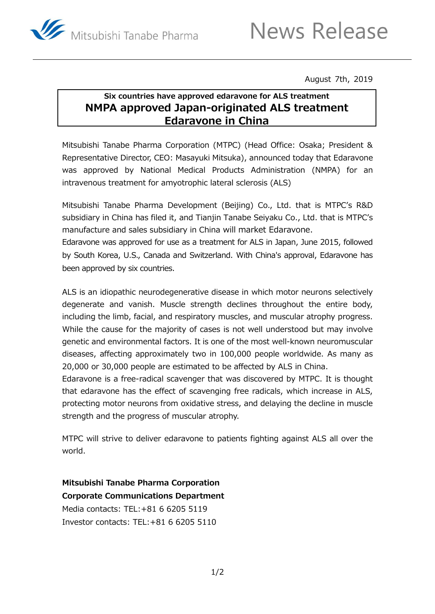

August 7th, 2019

# **Six countries have approved edaravone for ALS treatment NMPA approved Japan-originated ALS treatment Edaravone in China**

Mitsubishi Tanabe Pharma Corporation (MTPC) (Head Office: Osaka; President & Representative Director, CEO: Masayuki Mitsuka), announced today that Edaravone was approved by National Medical Products Administration (NMPA) for an intravenous treatment for amyotrophic lateral sclerosis (ALS)

Mitsubishi Tanabe Pharma Development (Beijing) Co., Ltd. that is MTPC's R&D subsidiary in China has filed it, and Tianjin Tanabe Seiyaku Co., Ltd. that is MTPC's manufacture and sales subsidiary in China will market Edaravone.

Edaravone was approved for use as a treatment for ALS in Japan, June 2015, followed by South Korea, U.S., Canada and Switzerland. With China's approval, Edaravone has been approved by six countries.

ALS is an idiopathic neurodegenerative disease in which motor neurons selectively degenerate and vanish. Muscle strength declines throughout the entire body, including the limb, facial, and respiratory muscles, and muscular atrophy progress. While the cause for the majority of cases is not well understood but may involve genetic and environmental factors. It is one of the most well-known neuromuscular diseases, affecting approximately two in 100,000 people worldwide. As many as 20,000 or 30,000 people are estimated to be affected by ALS in China.

Edaravone is a free-radical scavenger that was discovered by MTPC. It is thought that edaravone has the effect of scavenging free radicals, which increase in ALS, protecting motor neurons from oxidative stress, and delaying the decline in muscle strength and the progress of muscular atrophy.

MTPC will strive to deliver edaravone to patients fighting against ALS all over the world.

**Mitsubishi Tanabe Pharma Corporation Corporate Communications Department** Media contacts: [TEL:+81](tel:+81) 6 6205 5119 Investor contacts: [TEL:+81](tel:+81) 6 6205 5110